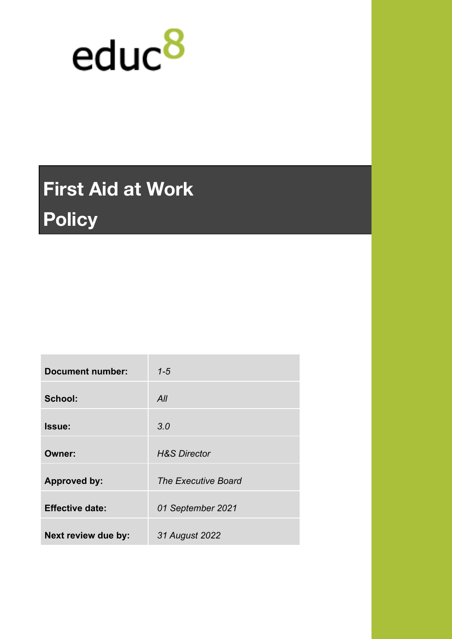

# **First Aid at Work Policy**

| <b>Document number:</b> | $1 - 5$                    |
|-------------------------|----------------------------|
| School:                 | All                        |
| Issue:                  | 3.0                        |
| <b>Owner:</b>           | <b>H&amp;S Director</b>    |
| <b>Approved by:</b>     | <b>The Executive Board</b> |
| <b>Effective date:</b>  | 01 September 2021          |
| Next review due by:     | 31 August 2022             |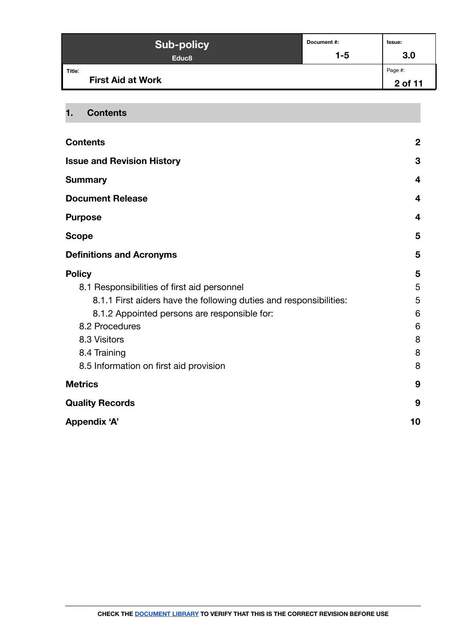| <b>Sub-policy</b>                  | Document#: | lssue:             |
|------------------------------------|------------|--------------------|
| Educ <sub>8</sub>                  | 1-5        | 3.0                |
| Title:<br><b>First Aid at Work</b> |            | Page #:<br>2 of 11 |

### <span id="page-1-0"></span>**1. Contents**

| <b>Contents</b>                                                    | $\boldsymbol{2}$        |
|--------------------------------------------------------------------|-------------------------|
| <b>Issue and Revision History</b>                                  | 3                       |
| <b>Summary</b>                                                     | $\overline{\mathbf{4}}$ |
| <b>Document Release</b>                                            | 4                       |
| <b>Purpose</b>                                                     | 4                       |
| <b>Scope</b>                                                       | 5                       |
| <b>Definitions and Acronyms</b>                                    | 5                       |
| <b>Policy</b>                                                      | 5                       |
| 8.1 Responsibilities of first aid personnel                        | 5                       |
| 8.1.1 First aiders have the following duties and responsibilities: | 5                       |
| 8.1.2 Appointed persons are responsible for:                       | 6                       |
| 8.2 Procedures                                                     | 6                       |
| 8.3 Visitors                                                       | 8                       |
| 8.4 Training                                                       | 8                       |
| 8.5 Information on first aid provision                             | 8                       |
| <b>Metrics</b>                                                     | 9                       |
| <b>Quality Records</b>                                             | 9                       |
| <b>Appendix 'A'</b>                                                | 10                      |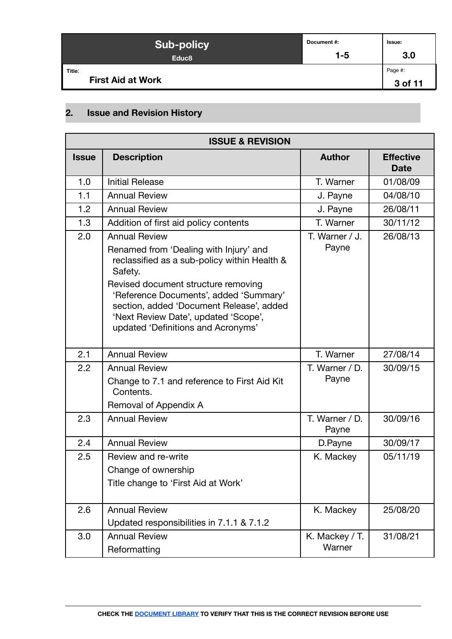| <b>Sub-policy</b>                  | Document#: | Issue:             |
|------------------------------------|------------|--------------------|
| Educ <sub>8</sub>                  | $1 - 5$    | 3.0                |
| Title:<br><b>First Aid at Work</b> |            | Page #:<br>3 of 11 |

# <span id="page-2-0"></span>**2. Issue and Revision History**

| <b>ISSUE &amp; REVISION</b>                                             |                                                                                                                                                                                                                                                                                                                                      |                         |                                 |  |
|-------------------------------------------------------------------------|--------------------------------------------------------------------------------------------------------------------------------------------------------------------------------------------------------------------------------------------------------------------------------------------------------------------------------------|-------------------------|---------------------------------|--|
| <b>Issue</b>                                                            | <b>Description</b>                                                                                                                                                                                                                                                                                                                   | <b>Author</b>           | <b>Effective</b><br><b>Date</b> |  |
| 1.0                                                                     | <b>Initial Release</b>                                                                                                                                                                                                                                                                                                               | T. Warner               | 01/08/09                        |  |
| 1.1                                                                     | <b>Annual Review</b>                                                                                                                                                                                                                                                                                                                 | J. Payne                | 04/08/10                        |  |
| 1.2                                                                     | <b>Annual Review</b>                                                                                                                                                                                                                                                                                                                 | J. Payne                | 26/08/11                        |  |
| 1.3                                                                     | Addition of first aid policy contents                                                                                                                                                                                                                                                                                                | T. Warner               | 30/11/12                        |  |
| 2.0                                                                     | <b>Annual Review</b><br>Renamed from 'Dealing with Injury' and<br>reclassified as a sub-policy within Health &<br>Safety.<br>Revised document structure removing<br>'Reference Documents', added 'Summary'<br>section, added 'Document Release', added<br>'Next Review Date', updated 'Scope',<br>updated 'Definitions and Acronyms' | T. Warner / J.<br>Payne | 26/08/13                        |  |
| 2.1                                                                     | <b>Annual Review</b>                                                                                                                                                                                                                                                                                                                 | T. Warner               | 27/08/14                        |  |
| 2.2                                                                     | <b>Annual Review</b><br>Change to 7.1 and reference to First Aid Kit<br>Contents.<br>Removal of Appendix A                                                                                                                                                                                                                           | T. Warner / D.<br>Payne | 30/09/15                        |  |
| 2.3                                                                     | <b>Annual Review</b>                                                                                                                                                                                                                                                                                                                 | T. Warner / D.<br>Payne | 30/09/16                        |  |
| 2.4                                                                     | <b>Annual Review</b>                                                                                                                                                                                                                                                                                                                 | D.Payne                 | 30/09/17                        |  |
| 2.5                                                                     | Review and re-write<br>Change of ownership<br>Title change to 'First Aid at Work'                                                                                                                                                                                                                                                    | K. Mackey               | 05/11/19                        |  |
| 2.6                                                                     | <b>Annual Review</b><br>Updated responsibilities in 7.1.1 & 7.1.2                                                                                                                                                                                                                                                                    | K. Mackey               | 25/08/20                        |  |
| K. Mackey / T.<br>3.0<br><b>Annual Review</b><br>Warner<br>Reformatting |                                                                                                                                                                                                                                                                                                                                      | 31/08/21                |                                 |  |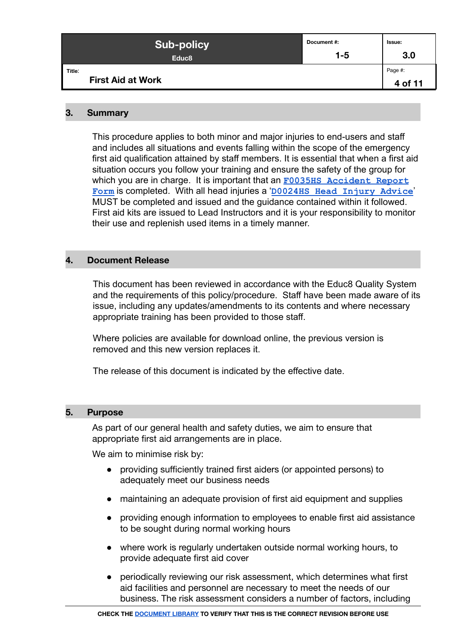| <b>Sub-policy</b>                  | Document #: | lssue:             |
|------------------------------------|-------------|--------------------|
| Educ <sub>8</sub>                  | $1 - 5$     | 3.0                |
| Title:<br><b>First Aid at Work</b> |             | Page #:<br>4 of 11 |

#### <span id="page-3-0"></span>**3. Summary**

This procedure applies to both minor and major injuries to end-users and staff and includes all situations and events falling within the scope of the emergency first aid qualification attained by staff members. It is essential that when a first aid situation occurs you follow your training and ensure the safety of the group for which you are in charge. It is important that an **F0035HS** Accident Report **[Form](https://form.jotformeu.com/92314411286351)** is completed. With all head injuries a '**D0024HS [Head Injury Advice](https://docs.google.com/document/d/1_CNUcoo2k2NbzbXphlNKR3qitsV-_2EKyuRfqCktLlI/edit)**' MUST be completed and issued and the guidance contained within it followed. First aid kits are issued to Lead Instructors and it is your responsibility to monitor their use and replenish used items in a timely manner.

#### <span id="page-3-1"></span>**4. Document Release**

This document has been reviewed in accordance with the Educ8 Quality System and the requirements of this policy/procedure. Staff have been made aware of its issue, including any updates/amendments to its contents and where necessary appropriate training has been provided to those staff.

Where policies are available for download online, the previous version is removed and this new version replaces it.

The release of this document is indicated by the effective date.

#### <span id="page-3-2"></span>**5. Purpose**

As part of our general health and safety duties, we aim to ensure that appropriate first aid arrangements are in place.

We aim to minimise risk by:

- providing sufficiently trained first aiders (or appointed persons) to adequately meet our business needs
- maintaining an adequate provision of first aid equipment and supplies
- providing enough information to employees to enable first aid assistance to be sought during normal working hours
- where work is regularly undertaken outside normal working hours, to provide adequate first aid cover
- periodically reviewing our risk assessment, which determines what first aid facilities and personnel are necessary to meet the needs of our business. The risk assessment considers a number of factors, including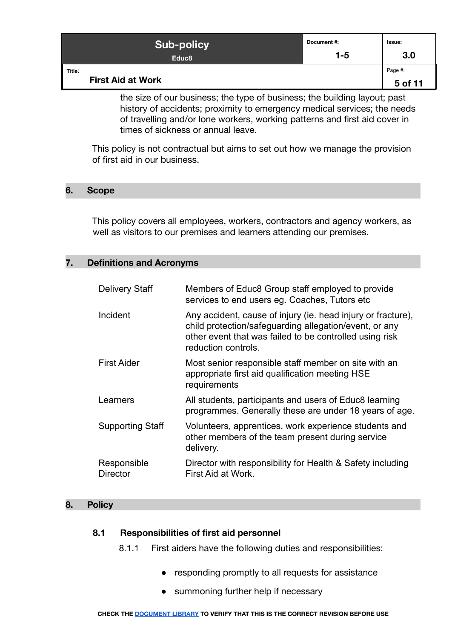| <b>Sub-policy</b>                  | Document #: | Issue:             |
|------------------------------------|-------------|--------------------|
| Educ <sub>8</sub>                  | $1 - 5$     | 3.0                |
| Title:<br><b>First Aid at Work</b> |             | Page #:<br>5 of 11 |

the size of our business; the type of business; the building layout; past history of accidents; proximity to emergency medical services; the needs of travelling and/or lone workers, working patterns and first aid cover in times of sickness or annual leave.

This policy is not contractual but aims to set out how we manage the provision of first aid in our business.

#### <span id="page-4-0"></span>**6. Scope**

This policy covers all employees, workers, contractors and agency workers, as well as visitors to our premises and learners attending our premises.

#### <span id="page-4-1"></span>**7. Definitions and Acronyms**

| <b>Delivery Staff</b>          | Members of Educ8 Group staff employed to provide<br>services to end users eg. Coaches, Tutors etc.                                                                                                       |
|--------------------------------|----------------------------------------------------------------------------------------------------------------------------------------------------------------------------------------------------------|
| Incident                       | Any accident, cause of injury (ie. head injury or fracture),<br>child protection/safeguarding allegation/event, or any<br>other event that was failed to be controlled using risk<br>reduction controls. |
| <b>First Aider</b>             | Most senior responsible staff member on site with an<br>appropriate first aid qualification meeting HSE<br>requirements                                                                                  |
| Learners                       | All students, participants and users of Educ8 learning<br>programmes. Generally these are under 18 years of age.                                                                                         |
| <b>Supporting Staff</b>        | Volunteers, apprentices, work experience students and<br>other members of the team present during service<br>delivery.                                                                                   |
| Responsible<br><b>Director</b> | Director with responsibility for Health & Safety including<br>First Aid at Work.                                                                                                                         |

#### <span id="page-4-3"></span><span id="page-4-2"></span>**8. Policy**

#### <span id="page-4-4"></span>**8.1 Responsibilities of first aid personnel**

- 8.1.1 First aiders have the following duties and responsibilities:
	- responding promptly to all requests for assistance
	- summoning further help if necessary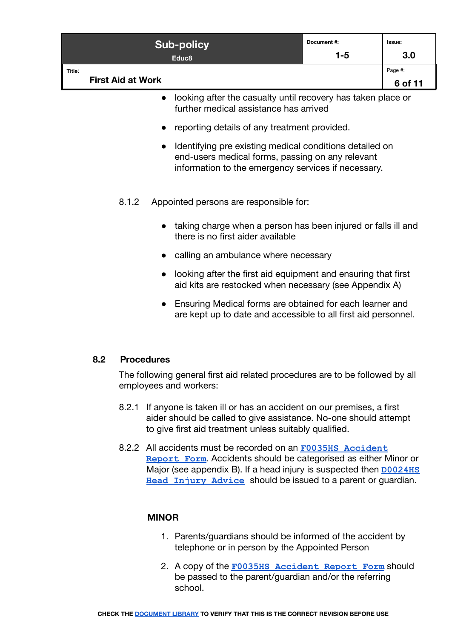| <b>Sub-policy</b>                  | Document #: | <b>Issue:</b>      |
|------------------------------------|-------------|--------------------|
| Educ <sub>8</sub>                  | 1-5         | 3.0                |
| Title:<br><b>First Aid at Work</b> |             | Page #:<br>6 of 11 |

- looking after the casualty until recovery has taken place or further medical assistance has arrived
- reporting details of any treatment provided.
- Identifying pre existing medical conditions detailed on end-users medical forms, passing on any relevant information to the emergency services if necessary.
- <span id="page-5-0"></span>8.1.2 Appointed persons are responsible for:
	- taking charge when a person has been injured or falls ill and there is no first aider available
	- calling an ambulance where necessary
	- looking after the first aid equipment and ensuring that first aid kits are restocked when necessary (see Appendix A)
	- Ensuring Medical forms are obtained for each learner and are kept up to date and accessible to all first aid personnel.

#### <span id="page-5-1"></span>**8.2 Procedures**

The following general first aid related procedures are to be followed by all employees and workers:

- 8.2.1 If anyone is taken ill or has an accident on our premises, a first aider should be called to give assistance. No-one should attempt to give first aid treatment unless suitably qualified.
- 8.2.2 All accidents must be recorded on an **F0035HS [Accident](https://form.jotformeu.com/92314411286351) [Report Form](https://form.jotformeu.com/92314411286351)**. Accidents should be categorised as either Minor or Major (see appendix B). If a head injury is suspected then **[D0024HS](https://docs.google.com/document/d/1_CNUcoo2k2NbzbXphlNKR3qitsV-_2EKyuRfqCktLlI/edit) [Head Injury Advice](https://docs.google.com/document/d/1_CNUcoo2k2NbzbXphlNKR3qitsV-_2EKyuRfqCktLlI/edit)** should be issued to a parent or guardian.

#### **MINOR**

- 1. Parents/guardians should be informed of the accident by telephone or in person by the Appointed Person
- 2. A copy of the **[F0035HS Accident Report Form](https://form.jotformeu.com/92314411286351)** should be passed to the parent/guardian and/or the referring school.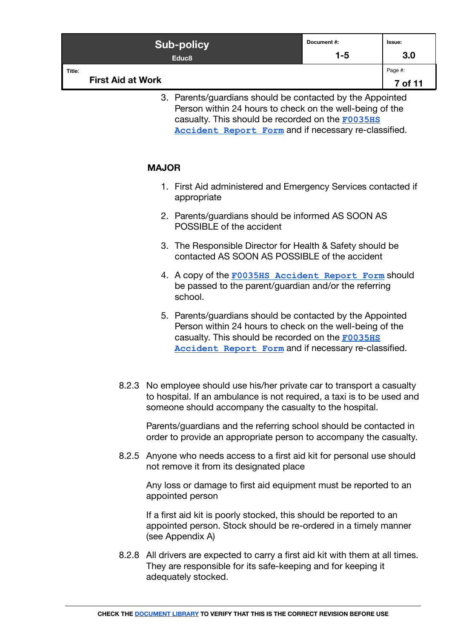| <b>Sub-policy</b>                  | Document#: | Issue:             |
|------------------------------------|------------|--------------------|
| Educ <sub>8</sub>                  | $1 - 5$    | 3.0                |
| Title:<br><b>First Aid at Work</b> |            | Page #:<br>7 of 11 |

3. Parents/guardians should be contacted by the Appointed Person within 24 hours to check on the well-being of the casualty. This should be recorded on the **[F0035HS](https://form.jotformeu.com/92314411286351) [Accident Report Form](https://form.jotformeu.com/92314411286351)** and if necessary re-classified.

#### **MAJOR**

- 1. First Aid administered and Emergency Services contacted if appropriate
- 2. Parents/guardians should be informed AS SOON AS POSSIBLE of the accident
- 3. The Responsible Director for Health & Safety should be contacted AS SOON AS POSSIBLE of the accident
- 4. A copy of the **[F0035HS Accident Report Form](https://form.jotformeu.com/92314411286351)** should be passed to the parent/guardian and/or the referring school.
- 5. Parents/guardians should be contacted by the Appointed Person within 24 hours to check on the well-being of the casualty. This should be recorded on the **[F0035HS](https://form.jotformeu.com/92314411286351) [Accident Report Form](https://form.jotformeu.com/92314411286351)** and if necessary re-classified.
- 8.2.3 No employee should use his/her private car to transport a casualty to hospital. If an ambulance is not required, a taxi is to be used and someone should accompany the casualty to the hospital.

Parents/guardians and the referring school should be contacted in order to provide an appropriate person to accompany the casualty.

8.2.5 Anyone who needs access to a first aid kit for personal use should not remove it from its designated place

Any loss or damage to first aid equipment must be reported to an appointed person

If a first aid kit is poorly stocked, this should be reported to an appointed person. Stock should be re-ordered in a timely manner (see Appendix A)

8.2.8 All drivers are expected to carry a first aid kit with them at all times. They are responsible for its safe-keeping and for keeping it adequately stocked.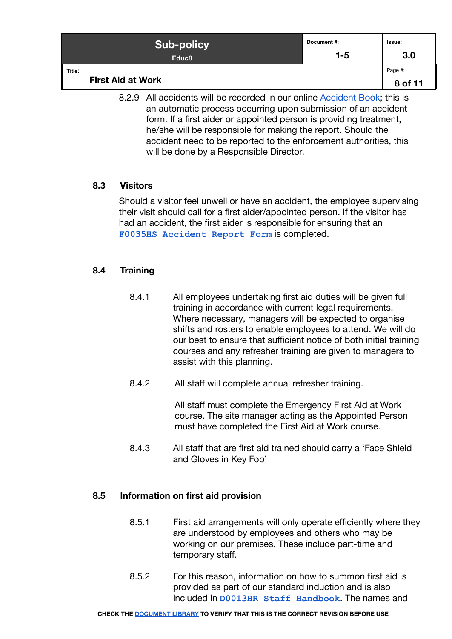| <b>Sub-policy</b>                  | Document#: | lssue:             |
|------------------------------------|------------|--------------------|
| Educ <sub>8</sub>                  | $1 - 5$    | 3.0                |
| Title:<br><b>First Aid at Work</b> |            | Page #:<br>8 of 11 |

8.2.9 All accidents will be recorded in our online [Accident Book](https://docs.google.com/spreadsheets/d/1pb5xy9-qauO44UMsHcBPw299i6lgF2v4UOPhPnJ4rwc/edit#gid=1803218451); this is an automatic process occurring upon submission of an accident form. If a first aider or appointed person is providing treatment, he/she will be responsible for making the report. Should the accident need to be reported to the enforcement authorities, this will be done by a Responsible Director.

#### <span id="page-7-0"></span>**8.3 Visitors**

Should a visitor feel unwell or have an accident, the employee supervising their visit should call for a first aider/appointed person. If the visitor has had an accident, the first aider is responsible for ensuring that an **[F0035HS Accident Report Form](https://form.jotformeu.com/92314411286351)** is completed.

#### <span id="page-7-1"></span>**8.4 Training**

- 8.4.1 All employees undertaking first aid duties will be given full training in accordance with current legal requirements. Where necessary, managers will be expected to organise shifts and rosters to enable employees to attend. We will do our best to ensure that sufficient notice of both initial training courses and any refresher training are given to managers to assist with this planning.
- 8.4.2 All staff will complete annual refresher training.

All staff must complete the Emergency First Aid at Work course. The site manager acting as the Appointed Person must have completed the First Aid at Work course.

8.4.3 All staff that are first aid trained should carry a 'Face Shield and Gloves in Key Fob'

#### <span id="page-7-2"></span>**8.5 Information on first aid provision**

- 8.5.1 First aid arrangements will only operate efficiently where they are understood by employees and others who may be working on our premises. These include part-time and temporary staff.
- 8.5.2 For this reason, information on how to summon first aid is provided as part of our standard induction and is also included in **[D0013HR Staff Handbook](https://docs.google.com/document/d/1X_Eigo0Trga46F36tP6Uk5LsE2CzPVMP1WPFuTAohuw)**. The names and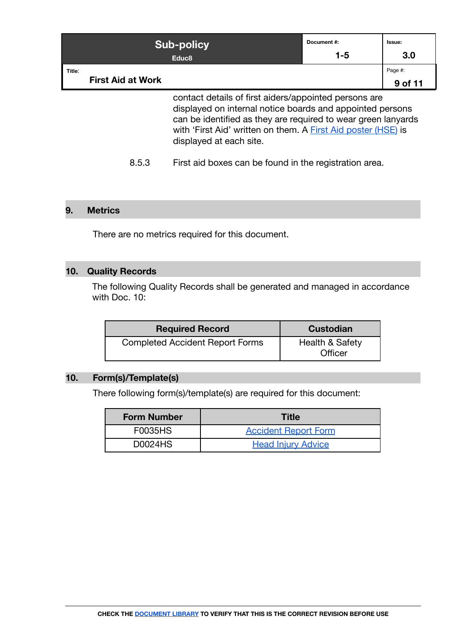| <b>Sub-policy</b><br>Educ <sub>8</sub> |                          | Document#:<br>$1 - 5$                                         | Issue:<br>3.0 |         |
|----------------------------------------|--------------------------|---------------------------------------------------------------|---------------|---------|
|                                        |                          |                                                               |               |         |
| Title:                                 |                          |                                                               |               | Page #: |
|                                        | <b>First Aid at Work</b> |                                                               |               | 9 of 11 |
|                                        |                          | contact details of first aiders/appointed persons are         |               |         |
|                                        |                          | displayed on internal notice boards and appointed persons     |               |         |
|                                        |                          | can be identified as they are required to wear green lanyards |               |         |
|                                        |                          | with 'First Aid' written on them. A First Aid poster (HSE) is |               |         |

displayed at each site.

8.5.3 First aid boxes can be found in the registration area.

#### <span id="page-8-0"></span>**9. Metrics**

There are no metrics required for this document.

## <span id="page-8-1"></span>**10. Quality Records**

The following Quality Records shall be generated and managed in accordance with Doc. 10:

| <b>Required Record</b>                 | <b>Custodian</b>                      |  |
|----------------------------------------|---------------------------------------|--|
| <b>Completed Accident Report Forms</b> | <b>Health &amp; Safety</b><br>Officer |  |

#### **10. Form(s)/Template(s)**

There following form(s)/template(s) are required for this document:

| <b>Form Number</b> | <b>Title</b>                |
|--------------------|-----------------------------|
| <b>F0035HS</b>     | <b>Accident Report Form</b> |
| D0024HS            | <b>Head Injury Advice</b>   |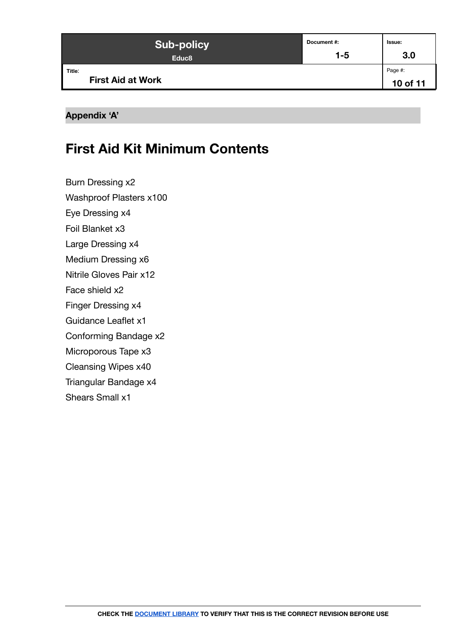| <b>Sub-policy</b>                  | Document #: | Issue:              |
|------------------------------------|-------------|---------------------|
| Educ <sub>8</sub>                  | $1 - 5$     | 3.0                 |
| Title:<br><b>First Aid at Work</b> |             | Page #:<br>10 of 11 |

#### <span id="page-9-0"></span>**Appendix 'A'**

# **First Aid Kit Minimum Contents**

Burn Dressing x2

Washproof Plasters x100

Eye Dressing x4

Foil Blanket x3

Large Dressing x4

Medium Dressing x6

Nitrile Gloves Pair x12

Face shield x2

Finger Dressing x4

Guidance Leaflet x1

Conforming Bandage x2

Microporous Tape x3

Cleansing Wipes x40

Triangular Bandage x4

Shears Small x1